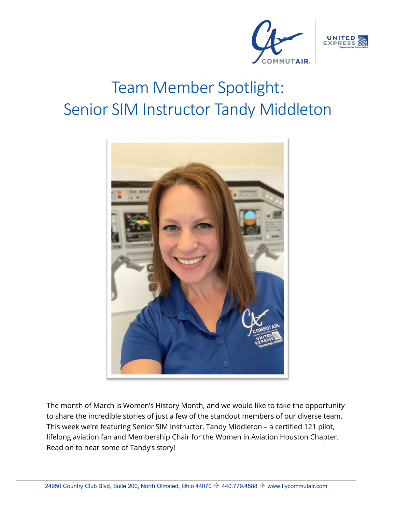



# Team Member Spotlight: Senior SIM Instructor Tandy Middleton



The month of March is Women's History Month, and we would like to take the opportunity to share the incredible stories of just a few of the standout members of our diverse team. This week we're featuring Senior SIM Instructor, Tandy Middleton – a certified 121 pilot, lifelong aviation fan and Membership Chair for the Women in Aviation Houston Chapter. Read on to hear some of Tandy's story!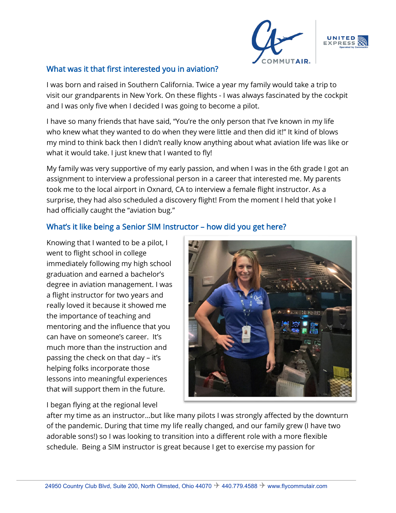



#### What was it that first interested you in aviation?

I was born and raised in Southern California. Twice a year my family would take a trip to visit our grandparents in New York. On these flights - I was always fascinated by the cockpit and I was only five when I decided I was going to become a pilot.

I have so many friends that have said, "You're the only person that I've known in my life who knew what they wanted to do when they were little and then did it!" It kind of blows my mind to think back then I didn't really know anything about what aviation life was like or what it would take. I just knew that I wanted to fly!

My family was very supportive of my early passion, and when I was in the 6th grade I got an assignment to interview a professional person in a career that interested me. My parents took me to the local airport in Oxnard, CA to interview a female flight instructor. As a surprise, they had also scheduled a discovery flight! From the moment I held that yoke I had officially caught the "aviation bug."

### What's it like being a Senior SIM Instructor – how did you get here?

Knowing that I wanted to be a pilot, I went to flight school in college immediately following my high school graduation and earned a bachelor's degree in aviation management. I was a flight instructor for two years and really loved it because it showed me the importance of teaching and mentoring and the influence that you can have on someone's career. It's much more than the instruction and passing the check on that day – it's helping folks incorporate those lessons into meaningful experiences that will support them in the future.

I began flying at the regional level



after my time as an instructor…but like many pilots I was strongly affected by the downturn of the pandemic. During that time my life really changed, and our family grew (I have two adorable sons!) so I was looking to transition into a different role with a more flexible schedule. Being a SIM instructor is great because I get to exercise my passion for